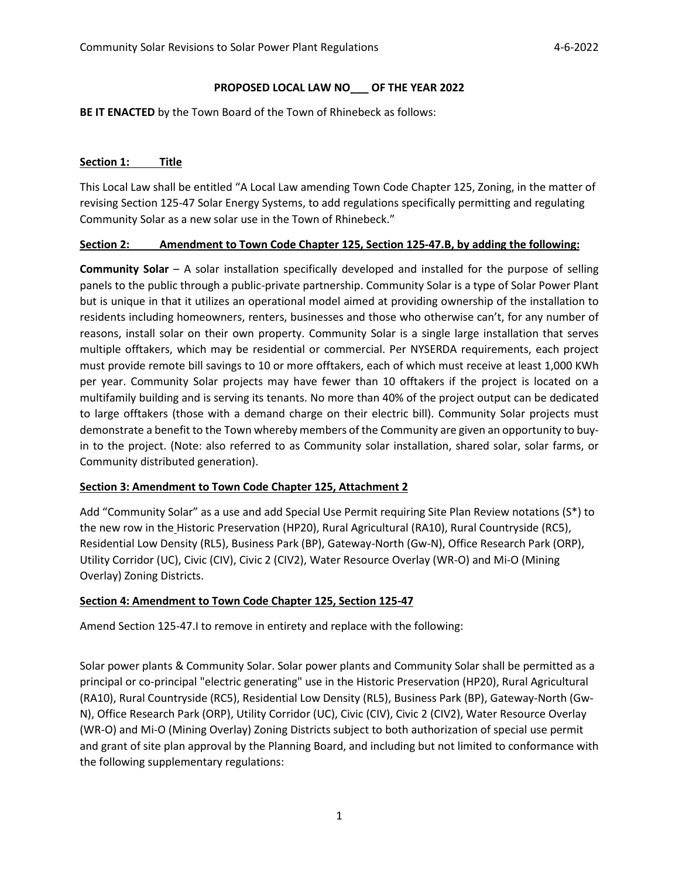#### **PROPOSED LOCAL LAW NO\_\_\_ OF THE YEAR 2022**

**BE IT ENACTED** by the Town Board of the Town of Rhinebeck as follows:

#### **Section 1: Title**

This Local Law shall be entitled "A Local Law amending Town Code Chapter 125, Zoning, in the matter of revising Section 125-47 Solar Energy Systems, to add regulations specifically permitting and regulating Community Solar as a new solar use in the Town of Rhinebeck."

#### **Section 2: Amendment to Town Code Chapter 125, Section 125-47.B, by adding the following:**

**Community Solar** – A solar installation specifically developed and installed for the purpose of selling panels to the public through a public-private partnership. Community Solar is a type of Solar Power Plant but is unique in that it utilizes an operational model aimed at providing ownership of the installation to residents including homeowners, renters, businesses and those who otherwise can't, for any number of reasons, install solar on their own property. Community Solar is a single large installation that serves multiple offtakers, which may be residential or commercial. Per NYSERDA requirements, each project must provide remote bill savings to 10 or more offtakers, each of which must receive at least 1,000 KWh per year. Community Solar projects may have fewer than 10 offtakers if the project is located on a multifamily building and is serving its tenants. No more than 40% of the project output can be dedicated to large offtakers (those with a demand charge on their electric bill). Community Solar projects must demonstrate a benefit to the Town whereby members of the Community are given an opportunity to buyin to the project. (Note: also referred to as Community solar installation, shared solar, solar farms, or Community distributed generation).

#### **Section 3: Amendment to Town Code Chapter 125, Attachment 2**

Add "Community Solar" as a use and add Special Use Permit requiring Site Plan Review notations (S\*) to the new row in the Historic Preservation (HP20), Rural Agricultural (RA10), Rural Countryside (RC5), Residential Low Density (RL5), Business Park (BP), Gateway-North (Gw-N), Office Research Park (ORP), Utility Corridor (UC), Civic (CIV), Civic 2 (CIV2), Water Resource Overlay (WR-O) and Mi-O (Mining Overlay) Zoning Districts.

# **Section 4: Amendment to Town Code Chapter 125, Section 125-47**

Amend Section 125-47.I to remove in entirety and replace with the following:

Solar power plants & Community Solar. Solar power plants and Community Solar shall be permitted as a principal or co-principal "electric generating" use in the Historic Preservation (HP20), Rural Agricultural (RA10), Rural Countryside (RC5), Residential Low Density (RL5), Business Park (BP), Gateway-North (Gw-N), Office Research Park (ORP), Utility Corridor (UC), Civic (CIV), Civic 2 (CIV2), Water Resource Overlay (WR-O) and Mi-O (Mining Overlay) Zoning Districts subject to both authorization of special use permit and grant of site plan approval by the Planning Board, and including but not limited to conformance with the following supplementary regulations: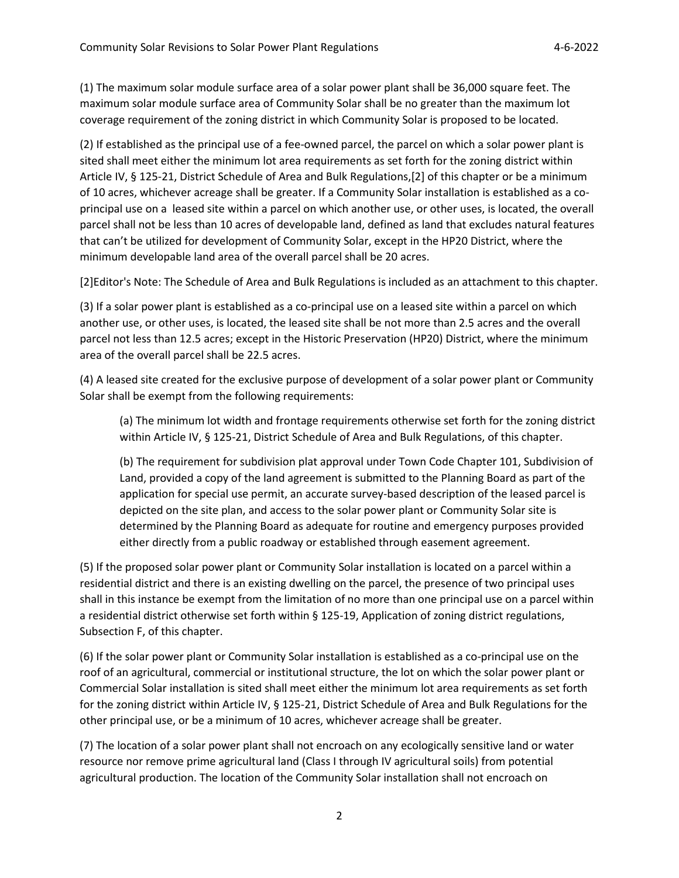(1) The maximum solar module surface area of a solar power plant shall be 36,000 square feet. The maximum solar module surface area of Community Solar shall be no greater than the maximum lot coverage requirement of the zoning district in which Community Solar is proposed to be located.

(2) If established as the principal use of a fee-owned parcel, the parcel on which a solar power plant is sited shall meet either the minimum lot area requirements as set forth for the zoning district within Article IV, § 125-21, District Schedule of Area and Bulk Regulations,[2] of this chapter or be a minimum of 10 acres, whichever acreage shall be greater. If a Community Solar installation is established as a coprincipal use on a leased site within a parcel on which another use, or other uses, is located, the overall parcel shall not be less than 10 acres of developable land, defined as land that excludes natural features that can't be utilized for development of Community Solar, except in the HP20 District, where the minimum developable land area of the overall parcel shall be 20 acres.

[2]Editor's Note: The Schedule of Area and Bulk Regulations is included as an attachment to this chapter.

(3) If a solar power plant is established as a co-principal use on a leased site within a parcel on which another use, or other uses, is located, the leased site shall be not more than 2.5 acres and the overall parcel not less than 12.5 acres; except in the Historic Preservation (HP20) District, where the minimum area of the overall parcel shall be 22.5 acres.

(4) A leased site created for the exclusive purpose of development of a solar power plant or Community Solar shall be exempt from the following requirements:

(a) The minimum lot width and frontage requirements otherwise set forth for the zoning district within Article IV, § 125-21, District Schedule of Area and Bulk Regulations, of this chapter.

(b) The requirement for subdivision plat approval under Town Code Chapter 101, Subdivision of Land, provided a copy of the land agreement is submitted to the Planning Board as part of the application for special use permit, an accurate survey-based description of the leased parcel is depicted on the site plan, and access to the solar power plant or Community Solar site is determined by the Planning Board as adequate for routine and emergency purposes provided either directly from a public roadway or established through easement agreement.

(5) If the proposed solar power plant or Community Solar installation is located on a parcel within a residential district and there is an existing dwelling on the parcel, the presence of two principal uses shall in this instance be exempt from the limitation of no more than one principal use on a parcel within a residential district otherwise set forth within § 125-19, Application of zoning district regulations, Subsection F, of this chapter.

(6) If the solar power plant or Community Solar installation is established as a co-principal use on the roof of an agricultural, commercial or institutional structure, the lot on which the solar power plant or Commercial Solar installation is sited shall meet either the minimum lot area requirements as set forth for the zoning district within Article IV, § 125-21, District Schedule of Area and Bulk Regulations for the other principal use, or be a minimum of 10 acres, whichever acreage shall be greater.

(7) The location of a solar power plant shall not encroach on any ecologically sensitive land or water resource nor remove prime agricultural land (Class I through IV agricultural soils) from potential agricultural production. The location of the Community Solar installation shall not encroach on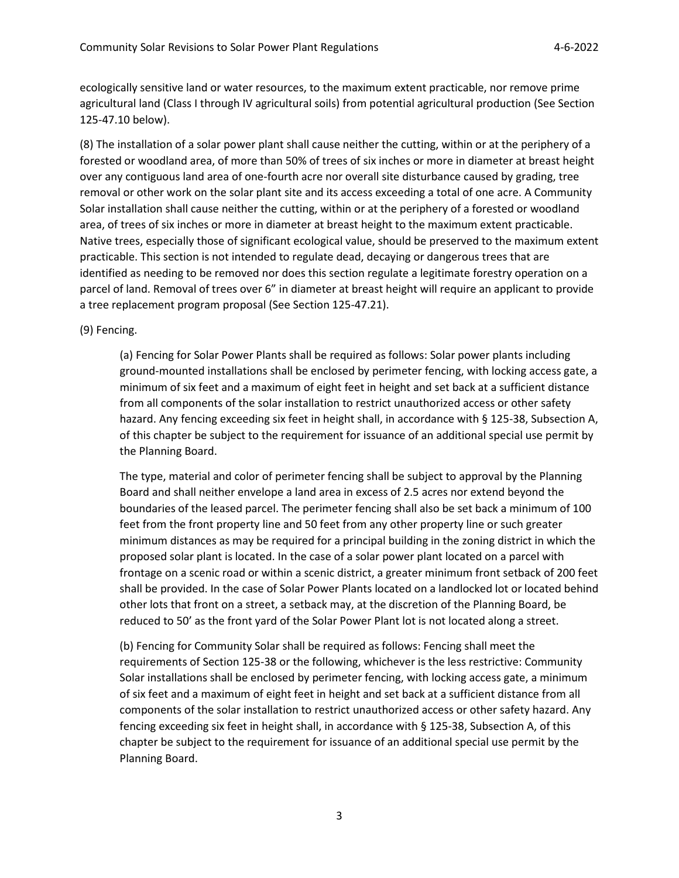ecologically sensitive land or water resources, to the maximum extent practicable, nor remove prime agricultural land (Class I through IV agricultural soils) from potential agricultural production (See Section 125-47.10 below).

(8) The installation of a solar power plant shall cause neither the cutting, within or at the periphery of a forested or woodland area, of more than 50% of trees of six inches or more in diameter at breast height over any contiguous land area of one-fourth acre nor overall site disturbance caused by grading, tree removal or other work on the solar plant site and its access exceeding a total of one acre. A Community Solar installation shall cause neither the cutting, within or at the periphery of a forested or woodland area, of trees of six inches or more in diameter at breast height to the maximum extent practicable. Native trees, especially those of significant ecological value, should be preserved to the maximum extent practicable. This section is not intended to regulate dead, decaying or dangerous trees that are identified as needing to be removed nor does this section regulate a legitimate forestry operation on a parcel of land. Removal of trees over 6" in diameter at breast height will require an applicant to provide a tree replacement program proposal (See Section 125-47.21).

(9) Fencing.

(a) Fencing for Solar Power Plants shall be required as follows: Solar power plants including ground-mounted installations shall be enclosed by perimeter fencing, with locking access gate, a minimum of six feet and a maximum of eight feet in height and set back at a sufficient distance from all components of the solar installation to restrict unauthorized access or other safety hazard. Any fencing exceeding six feet in height shall, in accordance with § 125-38, Subsection A, of this chapter be subject to the requirement for issuance of an additional special use permit by the Planning Board.

The type, material and color of perimeter fencing shall be subject to approval by the Planning Board and shall neither envelope a land area in excess of 2.5 acres nor extend beyond the boundaries of the leased parcel. The perimeter fencing shall also be set back a minimum of 100 feet from the front property line and 50 feet from any other property line or such greater minimum distances as may be required for a principal building in the zoning district in which the proposed solar plant is located. In the case of a solar power plant located on a parcel with frontage on a scenic road or within a scenic district, a greater minimum front setback of 200 feet shall be provided. In the case of Solar Power Plants located on a landlocked lot or located behind other lots that front on a street, a setback may, at the discretion of the Planning Board, be reduced to 50' as the front yard of the Solar Power Plant lot is not located along a street.

(b) Fencing for Community Solar shall be required as follows: Fencing shall meet the requirements of Section 125-38 or the following, whichever is the less restrictive: Community Solar installations shall be enclosed by perimeter fencing, with locking access gate, a minimum of six feet and a maximum of eight feet in height and set back at a sufficient distance from all components of the solar installation to restrict unauthorized access or other safety hazard. Any fencing exceeding six feet in height shall, in accordance with § 125-38, Subsection A, of this chapter be subject to the requirement for issuance of an additional special use permit by the Planning Board.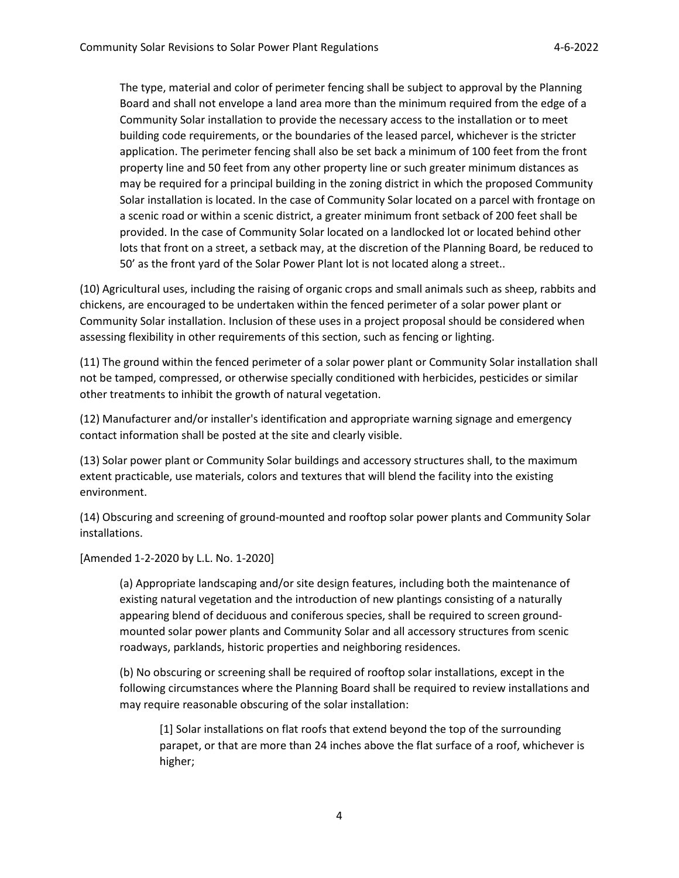The type, material and color of perimeter fencing shall be subject to approval by the Planning Board and shall not envelope a land area more than the minimum required from the edge of a Community Solar installation to provide the necessary access to the installation or to meet building code requirements, or the boundaries of the leased parcel, whichever is the stricter application. The perimeter fencing shall also be set back a minimum of 100 feet from the front property line and 50 feet from any other property line or such greater minimum distances as may be required for a principal building in the zoning district in which the proposed Community Solar installation is located. In the case of Community Solar located on a parcel with frontage on a scenic road or within a scenic district, a greater minimum front setback of 200 feet shall be provided. In the case of Community Solar located on a landlocked lot or located behind other lots that front on a street, a setback may, at the discretion of the Planning Board, be reduced to 50' as the front yard of the Solar Power Plant lot is not located along a street..

(10) Agricultural uses, including the raising of organic crops and small animals such as sheep, rabbits and chickens, are encouraged to be undertaken within the fenced perimeter of a solar power plant or Community Solar installation. Inclusion of these uses in a project proposal should be considered when assessing flexibility in other requirements of this section, such as fencing or lighting.

(11) The ground within the fenced perimeter of a solar power plant or Community Solar installation shall not be tamped, compressed, or otherwise specially conditioned with herbicides, pesticides or similar other treatments to inhibit the growth of natural vegetation.

(12) Manufacturer and/or installer's identification and appropriate warning signage and emergency contact information shall be posted at the site and clearly visible.

(13) Solar power plant or Community Solar buildings and accessory structures shall, to the maximum extent practicable, use materials, colors and textures that will blend the facility into the existing environment.

(14) Obscuring and screening of ground-mounted and rooftop solar power plants and Community Solar installations.

[Amended 1-2-2020 by L.L. No. 1-2020]

(a) Appropriate landscaping and/or site design features, including both the maintenance of existing natural vegetation and the introduction of new plantings consisting of a naturally appearing blend of deciduous and coniferous species, shall be required to screen groundmounted solar power plants and Community Solar and all accessory structures from scenic roadways, parklands, historic properties and neighboring residences.

(b) No obscuring or screening shall be required of rooftop solar installations, except in the following circumstances where the Planning Board shall be required to review installations and may require reasonable obscuring of the solar installation:

[1] Solar installations on flat roofs that extend beyond the top of the surrounding parapet, or that are more than 24 inches above the flat surface of a roof, whichever is higher;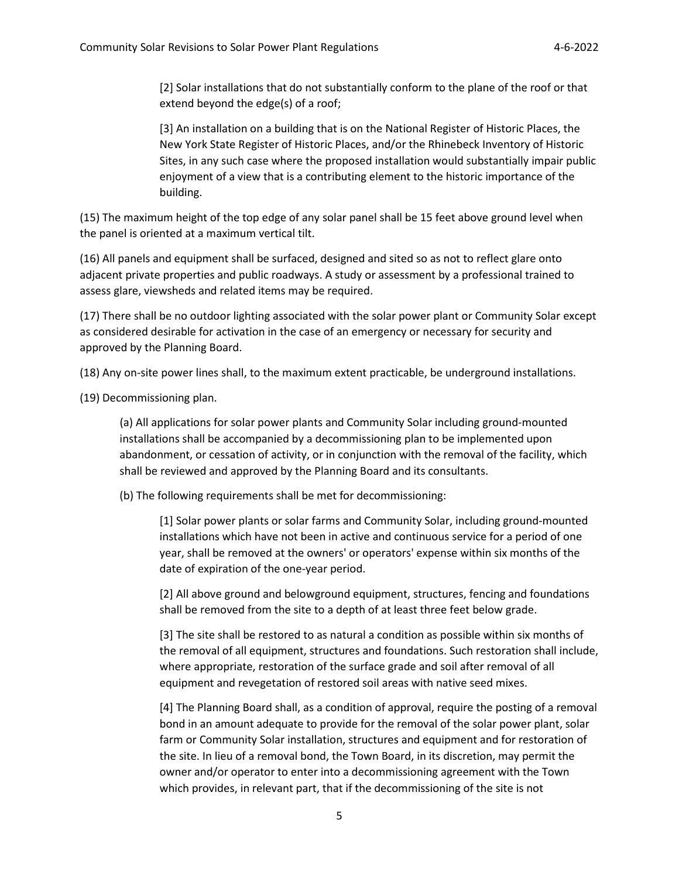[2] Solar installations that do not substantially conform to the plane of the roof or that extend beyond the edge(s) of a roof;

[3] An installation on a building that is on the National Register of Historic Places, the New York State Register of Historic Places, and/or the Rhinebeck Inventory of Historic Sites, in any such case where the proposed installation would substantially impair public enjoyment of a view that is a contributing element to the historic importance of the building.

(15) The maximum height of the top edge of any solar panel shall be 15 feet above ground level when the panel is oriented at a maximum vertical tilt.

(16) All panels and equipment shall be surfaced, designed and sited so as not to reflect glare onto adjacent private properties and public roadways. A study or assessment by a professional trained to assess glare, viewsheds and related items may be required.

(17) There shall be no outdoor lighting associated with the solar power plant or Community Solar except as considered desirable for activation in the case of an emergency or necessary for security and approved by the Planning Board.

(18) Any on-site power lines shall, to the maximum extent practicable, be underground installations.

(19) Decommissioning plan.

(a) All applications for solar power plants and Community Solar including ground-mounted installations shall be accompanied by a decommissioning plan to be implemented upon abandonment, or cessation of activity, or in conjunction with the removal of the facility, which shall be reviewed and approved by the Planning Board and its consultants.

(b) The following requirements shall be met for decommissioning:

[1] Solar power plants or solar farms and Community Solar, including ground-mounted installations which have not been in active and continuous service for a period of one year, shall be removed at the owners' or operators' expense within six months of the date of expiration of the one-year period.

[2] All above ground and belowground equipment, structures, fencing and foundations shall be removed from the site to a depth of at least three feet below grade.

[3] The site shall be restored to as natural a condition as possible within six months of the removal of all equipment, structures and foundations. Such restoration shall include, where appropriate, restoration of the surface grade and soil after removal of all equipment and revegetation of restored soil areas with native seed mixes.

[4] The Planning Board shall, as a condition of approval, require the posting of a removal bond in an amount adequate to provide for the removal of the solar power plant, solar farm or Community Solar installation, structures and equipment and for restoration of the site. In lieu of a removal bond, the Town Board, in its discretion, may permit the owner and/or operator to enter into a decommissioning agreement with the Town which provides, in relevant part, that if the decommissioning of the site is not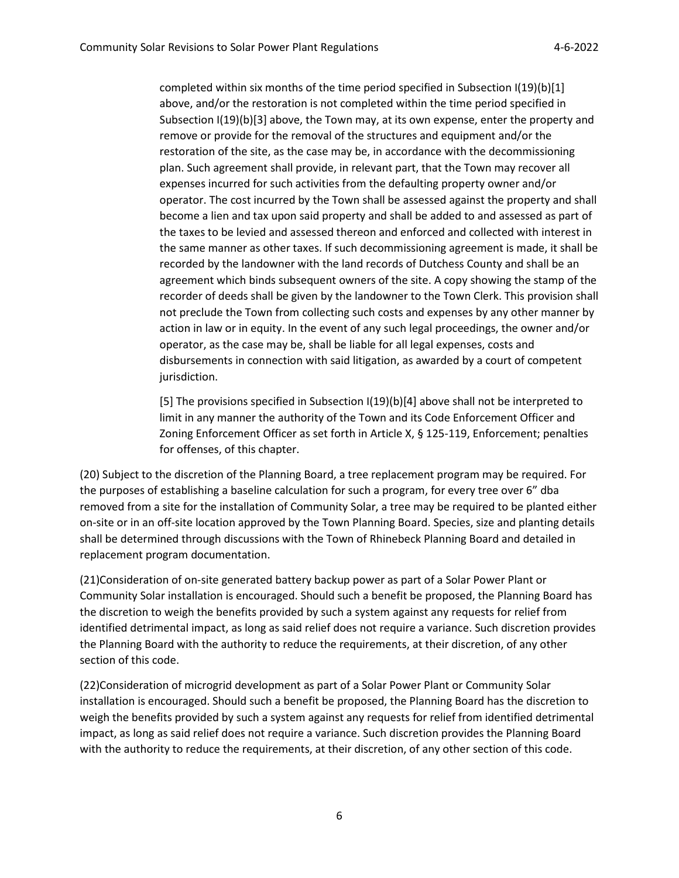completed within six months of the time period specified in Subsection I(19)(b)[1] above, and/or the restoration is not completed within the time period specified in Subsection I(19)(b)[3] above, the Town may, at its own expense, enter the property and remove or provide for the removal of the structures and equipment and/or the restoration of the site, as the case may be, in accordance with the decommissioning plan. Such agreement shall provide, in relevant part, that the Town may recover all expenses incurred for such activities from the defaulting property owner and/or operator. The cost incurred by the Town shall be assessed against the property and shall become a lien and tax upon said property and shall be added to and assessed as part of the taxes to be levied and assessed thereon and enforced and collected with interest in the same manner as other taxes. If such decommissioning agreement is made, it shall be recorded by the landowner with the land records of Dutchess County and shall be an agreement which binds subsequent owners of the site. A copy showing the stamp of the recorder of deeds shall be given by the landowner to the Town Clerk. This provision shall not preclude the Town from collecting such costs and expenses by any other manner by action in law or in equity. In the event of any such legal proceedings, the owner and/or operator, as the case may be, shall be liable for all legal expenses, costs and disbursements in connection with said litigation, as awarded by a court of competent jurisdiction.

[5] The provisions specified in Subsection I(19)(b)[4] above shall not be interpreted to limit in any manner the authority of the Town and its Code Enforcement Officer and Zoning Enforcement Officer as set forth in Article X, § 125-119, Enforcement; penalties for offenses, of this chapter.

(20) Subject to the discretion of the Planning Board, a tree replacement program may be required. For the purposes of establishing a baseline calculation for such a program, for every tree over 6" dba removed from a site for the installation of Community Solar, a tree may be required to be planted either on-site or in an off-site location approved by the Town Planning Board. Species, size and planting details shall be determined through discussions with the Town of Rhinebeck Planning Board and detailed in replacement program documentation.

(21)Consideration of on-site generated battery backup power as part of a Solar Power Plant or Community Solar installation is encouraged. Should such a benefit be proposed, the Planning Board has the discretion to weigh the benefits provided by such a system against any requests for relief from identified detrimental impact, as long as said relief does not require a variance. Such discretion provides the Planning Board with the authority to reduce the requirements, at their discretion, of any other section of this code.

(22)Consideration of microgrid development as part of a Solar Power Plant or Community Solar installation is encouraged. Should such a benefit be proposed, the Planning Board has the discretion to weigh the benefits provided by such a system against any requests for relief from identified detrimental impact, as long as said relief does not require a variance. Such discretion provides the Planning Board with the authority to reduce the requirements, at their discretion, of any other section of this code.